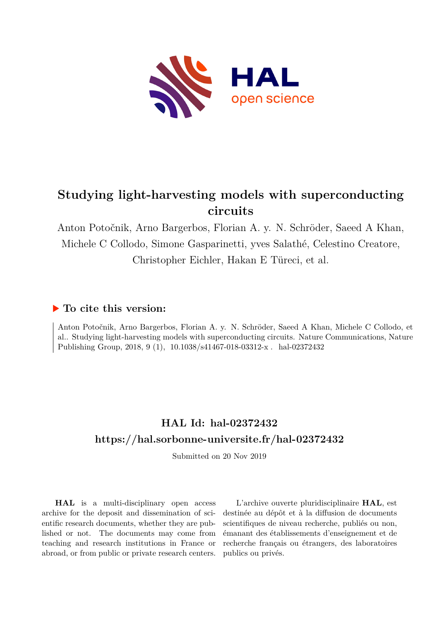

# **Studying light-harvesting models with superconducting circuits**

Anton Potočnik, Arno Bargerbos, Florian A. y. N. Schröder, Saeed A Khan, Michele C Collodo, Simone Gasparinetti, yves Salathé, Celestino Creatore, Christopher Eichler, Hakan E Türeci, et al.

### **To cite this version:**

Anton Potočnik, Arno Bargerbos, Florian A. y. N. Schröder, Saeed A Khan, Michele C Collodo, et al.. Studying light-harvesting models with superconducting circuits. Nature Communications, Nature Publishing Group, 2018, 9 (1), 10.1038/s41467-018-03312-x hal-02372432

## **HAL Id: hal-02372432 <https://hal.sorbonne-universite.fr/hal-02372432>**

Submitted on 20 Nov 2019

**HAL** is a multi-disciplinary open access archive for the deposit and dissemination of scientific research documents, whether they are published or not. The documents may come from teaching and research institutions in France or abroad, or from public or private research centers.

L'archive ouverte pluridisciplinaire **HAL**, est destinée au dépôt et à la diffusion de documents scientifiques de niveau recherche, publiés ou non, émanant des établissements d'enseignement et de recherche français ou étrangers, des laboratoires publics ou privés.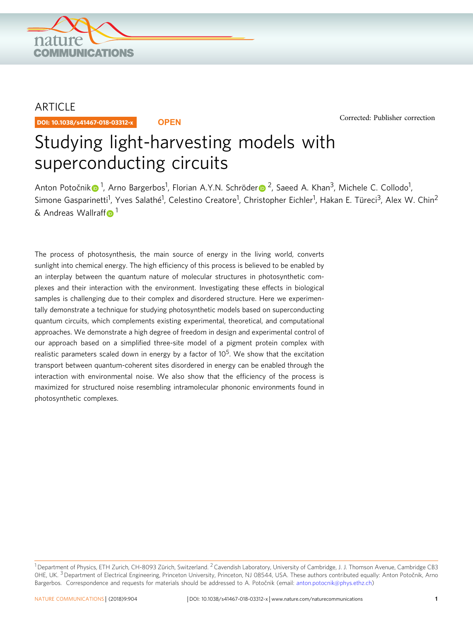

## ARTICLE

DOI: 10.1038/s41467-018-03312-x **OPEN**

[Corrected: Publisher correction](https://doi.org/10.1038/s41467-018-04655-1)

# Studying light-harvesting models with superconducting circuits

Anton Potočni[k](http://orcid.org/0000-0002-0352-6388) $\bullet^1$  $\bullet^1$ , A[r](http://orcid.org/0000-0002-9131-9003)no Bargerbos<sup>1</sup>, Florian A.Y.N. Schröder $\bullet^2$ , Saeed A. Khan<sup>3</sup>, Michele C. Collodo<sup>1</sup>, Simone Gasparinetti<sup>1</sup>, Yves Salathé<sup>1</sup>, Celestino Creatore<sup>1</sup>, Christopher Eichler<sup>1</sup>, Hakan E. Türeci<sup>3</sup>, Alex W. Chin<sup>2</sup>  $\&$  Andreas Wallra[f](http://orcid.org/0000-0002-3476-4485)f  $\bullet$ <sup>[1](http://orcid.org/0000-0002-3476-4485)</sup>

The process of photosynthesis, the main source of energy in the living world, converts sunlight into chemical energy. The high efficiency of this process is believed to be enabled by an interplay between the quantum nature of molecular structures in photosynthetic complexes and their interaction with the environment. Investigating these effects in biological samples is challenging due to their complex and disordered structure. Here we experimentally demonstrate a technique for studying photosynthetic models based on superconducting quantum circuits, which complements existing experimental, theoretical, and computational approaches. We demonstrate a high degree of freedom in design and experimental control of our approach based on a simplified three-site model of a pigment protein complex with realistic parameters scaled down in energy by a factor of  $10^5$ . We show that the excitation transport between quantum-coherent sites disordered in energy can be enabled through the interaction with environmental noise. We also show that the efficiency of the process is maximized for structured noise resembling intramolecular phononic environments found in photosynthetic complexes.

 $^1$ Department of Physics, ETH Zurich, CH-8093 Zürich, Switzerland. <sup>2</sup> Cavendish Laboratory, University of Cambridge, J. J. Thomson Avenue, Cambridge CB3 0HE, UK.<sup>3</sup> Department of Electrical Engineering, Princeton University, Princeton, NJ 08544, USA. These authors contributed equally: Anton Potočnik, Arno Bargerbos. Correspondence and requests for materials should be addressed to A. Potočnik (email: [anton.potocnik@phys.ethz.ch](mailto:anton.potocnik@phys.ethz.ch))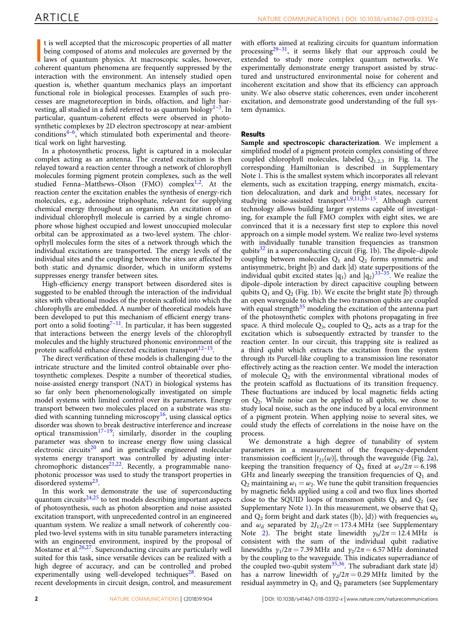It is well accepted that the microscopic properties of all matter being composed of atoms and molecules are governed by the laws of quantum physics. At macroscopic scales, however, coherent quantum phenomena are frequently t is well accepted that the microscopic properties of all matter being composed of atoms and molecules are governed by the laws of quantum physics. At macroscopic scales, however, interaction with the environment. An intensely studied open question is, whether quantum mechanics plays an important functional role in biological processes. Examples of such processes are magnetoreception in birds, olfaction, and light harvesting, all studied in a field referred to as quantum biology<sup>1–3</sup>. In particular, quantum-coherent effects were observed in photosynthetic complexes by 2D electron spectroscopy at near-ambient conditions $4-6$ , which stimulated both experimental and theoretical work on light harvesting.

In a photosynthetic process, light is captured in a molecular complex acting as an antenna. The created excitation is then relayed toward a reaction center through a network of chlorophyll molecules forming pigment protein complexes, such as the well studied Fenna–Matthews–Olson (FMO) complex<sup>1,2</sup>. At the reaction center the excitation enables the synthesis of energy-rich molecules, e.g., adenosine triphosphate, relevant for supplying chemical energy throughout an organism. An excitation of an individual chlorophyll molecule is carried by a single chromophore whose highest occupied and lowest unoccupied molecular orbital can be approximated as a two-level system. The chlorophyll molecules form the sites of a network through which the individual excitations are transported. The energy levels of the individual sites and the coupling between the sites are affected by both static and dynamic disorder, which in uniform systems suppresses energy transfer between sites.

High-efficiency energy transport between disordered sites is suggested to be enabled through the interaction of the individual sites with vibrational modes of the protein scaffold into which the chlorophylls are embedded. A number of theoretical models have been developed to put this mechanism of efficient energy transport onto a solid footing<sup>7-11</sup>. In particular, it has been suggested that interactions between the energy levels of the chlorophyll molecules and the highly structured phononic environment of the protein scaffold enhance directed excitation transport $12-15$ .

The direct verification of these models is challenging due to the intricate structure and the limited control obtainable over photosynthetic complexes. Despite a number of theoretical studies, noise-assisted energy transport (NAT) in biological systems has so far only been phenomenologically investigated on simple model systems with limited control over its parameters. Energy transport between two molecules placed on a substrate was studied with scanning tunneling microscopy<sup>16</sup>, using classical optics disorder was shown to break destructive interference and increase optical transmission<sup>17-19</sup>; similarly, disorder in the coupling parameter was shown to increase energy flow using classical electronic circuits<sup>20</sup> and in genetically engineered molecular systems energy transport was controlled by adjusting interchromophoric distances<sup>21,22</sup>. Recently, a programmable nanophotonic processor was used to study the transport properties in disordered systems<sup>23</sup>.

In this work we demonstrate the use of superconducting quantum circuits<sup>24,25</sup> to test models describing important aspects of photosynthesis, such as photon absorption and noise assisted excitation transport, with unprecedented control in an engineered quantum system. We realize a small network of coherently coupled two-level systems with in situ tunable parameters interacting with an engineered environment, inspired by the proposal of Mostame et al.26,27. Superconducting circuits are particularly well suited for this task, since versatile devices can be realized with a high degree of accuracy, and can be controlled and probed experimentally using well-developed techniques<sup>28</sup>. Based on recent developments in circuit design, control, and measurement

with efforts aimed at realizing circuits for quantum information processing $29-31$ , it seems likely that our approach could be extended to study more complex quantum networks. We experimentally demonstrate energy transport assisted by structured and unstructured environmental noise for coherent and incoherent excitation and show that its efficiency can approach unity. We also observe static coherences, even under incoherent excitation, and demonstrate good understanding of the full system dynamics.

#### Results

Sample and spectroscopic characterization. We implement a simplified model of a pigment protein complex consisting of three coupled chlorophyll molecules, labeled  $Q_{1,2,3}$  in Fig. 1a. The corresponding Hamiltonian is described in Supplementary Note 1. This is the smallest system which incorporates all relevant elements, such as excitation trapping, energy mismatch, excitation delocalization, and dark and bright states, necessary for studying noise-assisted transport<sup>1,9,11,13–15</sup>. Although current technology allows building larger systems capable of investigating, for example the full FMO complex with eight sites, we are convinced that it is a necessary first step to explore this novel approach on a simple model system. We realize two-level systems with individually tunable transition frequencies as transmon qubits $32$  in a superconducting circuit (Fig. 1b). The dipole–dipole coupling between molecules  $Q_1$  and  $Q_2$  forms symmetric and antisymmetric, bright |b〉 and dark |d〉 state superpositions of the individual qubit excited states  $|q_1\rangle$  and  $|q_2\rangle^{33-35}$ . We realize the dipole–dipole interaction by direct capacitive coupling between qubits  $Q_1$  and  $Q_2$  (Fig. 1b). We excite the bright state  $|b\rangle$  through an open waveguide to which the two transmon qubits are coupled with equal strength $35$  modeling the excitation of the antenna part of the photosynthetic complex with photons propagating in free space. A third molecule  $Q_3$ , coupled to  $Q_2$ , acts as a trap for the excitation which is subsequently extracted by transfer to the reaction center. In our circuit, this trapping site is realized as a third qubit which extracts the excitation from the system through its Purcell-like coupling to a transmission line resonator effectively acting as the reaction center. We model the interaction of molecule  $Q_2$  with the environmental vibrational modes of the protein scaffold as fluctuations of its transition frequency. These fluctuations are induced by local magnetic fields acting on  $Q_2$ . While noise can be applied to all qubits, we chose to study local noise, such as the one induced by a local environment of a pigment protein. When applying noise to several sites, we could study the effects of correlations in the noise have on the process.

We demonstrate a high degree of tunability of system parameters in a measurement of the frequency-dependent transmission coefficient  $|t_{21}(\omega)|$ , through the waveguide (Fig. 2a), keeping the transition frequency of  $\bar{Q}_3$  fixed at  $\omega_3/2\pi = 6.198$ GHz and linearly sweeping the transition frequencies of  $Q_1$  and  $Q_2$  maintaining  $\omega_1 = \omega_2$ . We tune the qubit transition frequencies by magnetic fields applied using a coil and two flux lines shorted close to the SQUID loops of transmon qubits  $Q_1$  and  $Q_2$  (see Supplementary Note 1). In this measurement, we observe that  $Q_1$ and  $Q_2$  form bright and dark states (|b), |d)) with frequencies  $\omega_{b}$ and  $\omega_d$  separated by  $2J_{12}/2\pi = 173.4 \text{ MHz}$  (see Supplementary Note 2). The bright state linewidth  $\gamma_b/2\pi = 12.4 \text{ MHz}$  is consistent with the sum of the individual qubit radiative linewidths  $\gamma_1/2\pi = 7.39 \text{ MHz}$  and  $\gamma_2/2\pi = 6.57 \text{ MHz}$  dominated by the coupling to the waveguide. This indicates superradiance of the coupled two-qubit system<sup>35,36</sup>. The subradiant dark state  $|d\rangle$ has a narrow linewidth of  $\gamma_d/2\pi = 0.29 \text{ MHz}$  limited by the residual asymmetry in  $Q_1$  and  $Q_2$  parameters (see Supplementary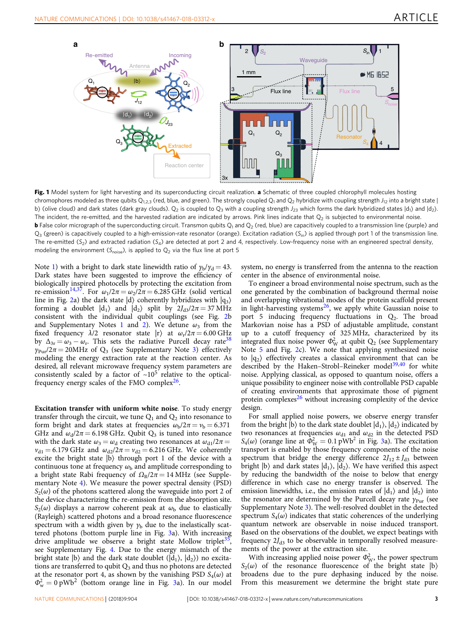

Fig. 1 Model system for light harvesting and its superconducting circuit realization. a Schematic of three coupled chlorophyll molecules hosting chromophores modeled as three qubits  $Q_{1,2,3}$  (red, blue, and green). The strongly coupled  $Q_1$  and  $Q_2$  hybridize with coupling strength  $J_{12}$  into a bright state | b) (olive cloud) and dark states (dark gray clouds). Q<sub>2</sub> is coupled to Q<sub>3</sub> with a coupling strength  $J_{23}$  which forms the dark hybridized states  $|d_1\rangle$  and  $|d_2\rangle$ . The incident, the re-emitted, and the harvested radiation are indicated by arrows. Pink lines indicate that  $Q<sub>2</sub>$  is subjected to environmental noise. **b** False color micrograph of the superconducting circuit. Transmon qubits  $Q_1$  and  $Q_2$  (red, blue) are capacitively coupled to a transmission line (purple) and  $Q_3$  (green) is capacitively coupled to a high-emission-rate resonator (orange). Excitation radiation (S<sub>in</sub>) is applied through port 1 of the transmission line. The re-emitted (S<sub>2</sub>) and extracted radiation (S<sub>4</sub>) are detected at port 2 and 4, respectively. Low-frequency noise with an engineered spectral density, modeling the environment ( $S_{noise}$ ), is applied to  $Q_2$  via the flux line at port 5

Note 1) with a bright to dark state linewidth ratio of  $\gamma_b/\gamma_d = 43$ . Dark states have been suggested to improve the efficiency of biologically inspired photocells by protecting the excitation from re-emission<sup>14,37</sup>. For  $\omega_1/2\pi = \omega_2/2\pi = 6.285$  GHz (solid vertical line in Fig. 2a) the dark state  $|d\rangle$  coherently hybridizes with  $|q_3\rangle$ forming a doublet  $|d_1\rangle$  and  $|d_2\rangle$  split by  $2J_{d3}/2\pi = 37$  MHz consistent with the individual qubit couplings (see Fig. 2b and Supplementary Notes 1 and 2). We detune  $\omega_3$  from the fixed frequency  $\lambda/2$  resonator state  $|r\rangle$  at  $\omega_r/2\pi = 6.00$  GHz by  $\Delta_{3r} = \omega_3 - \omega_r$ . This sets the radiative Purcell decay rate<sup>38</sup>  $\gamma_{\text{Pur}}/2\pi = 20 \text{MHz}$  of  $\text{Q}_3$  (see Supplementary Note 3) effectively modeling the energy extraction rate at the reaction center. As desired, all relevant microwave frequency system parameters are consistently scaled by a factor of  $\sim 10^5$  relative to the opticalfrequency energy scales of the FMO complex $26$ .

Excitation transfer with uniform white noise. To study energy transfer through the circuit, we tune  $Q_1$  and  $Q_2$  into resonance to form bright and dark states at frequencies  $\omega_{\rm b}/2\pi = v_{\rm b} = 6.371$ GHz and  $\omega_d/2\pi = 6.198$  GHz. Qubit  $Q_3$  is tuned into resonance with the dark state  $\omega_3 = \omega_d$  creating two resonances at  $\omega_{d1}/2\pi =$  $v_{d1} = 6.179$  GHz and  $\omega_{d2}/2\pi = v_{d2} = 6.216$  GHz. We coherently excite the bright state |b〉 through port 1 of the device with a continuous tone at frequency  $\omega_{\rm b}$  and amplitude corresponding to a bright state Rabi frequency of  $\Omega_R/2\pi = 14 \text{ MHz}$  (see Supplementary Note 4). We measure the power spectral density (PSD)  $S_2(\omega)$  of the photons scattered along the waveguide into port 2 of the device characterizing the re-emission from the absorption site.  $S_2(\omega)$  displays a narrow coherent peak at  $\omega_{\rm b}$  due to elastically (Rayleigh) scattered photons and a broad resonance fluorescence spectrum with a width given by  $y<sub>b</sub>$  due to the inelastically scattered photons (bottom purple line in Fig. 3a). With increasing drive amplitude we observe a bright state Mollow triplet<sup>35</sup>, see Supplementary Fig. 4. Due to the energy mismatch of the bright state  $|b\rangle$  and the dark state doublet  $(|d_1\rangle, |d_2\rangle)$  no excitations are transferred to qubit  $Q_3$  and thus no photons are detected at the resonator port 4, as shown by the vanishing PSD  $S_4(\omega)$  at  $\Phi_{\rm w}^2 = 0$  pWb<sup>2</sup> (bottom orange line in Fig. 3a). In our model

system, no energy is transferred from the antenna to the reaction center in the absence of environmental noise.

To engineer a broad environmental noise spectrum, such as the one generated by the combination of background thermal noise and overlapping vibrational modes of the protein scaffold present in light-harvesting systems<sup>26</sup>, we apply white Gaussian noise to port 5 inducing frequency fluctuations in  $Q_2$ . The broad Markovian noise has a PSD of adjustable amplitude, constant up to a cutoff frequency of 325 MHz, characterized by its integrated flux noise power  $\Phi_W^2$  at qubit  $Q_2$  (see Supplementary Note 5 and Fig. 2c). We note that applying synthesized noise to  $|q_2\rangle$  effectively creates a classical environment that can be described by the Haken-Strobl-Reineker model<sup>39,40</sup> for white noise. Applying classical, as opposed to quantum noise, offers a unique possibility to engineer noise with controllable PSD capable of creating environments that approximate those of pigment protein complexes $26$  without increasing complexity of the device design.

For small applied noise powers, we observe energy transfer from the bright  $|b\rangle$  to the dark state doublet  $|d_1\rangle$ ,  $|d_2\rangle$  indicated by two resonances at frequencies  $\omega_{d1}$  and  $\omega_{d2}$  in the detected PSD  $S_4(\omega)$  (orange line at  $\hat{\Phi}_{\rm W}^2 = 0.1$  pWb<sup>2</sup> in Fig. 3a). The excitation transport is enabled by those frequency components of the noise spectrum that bridge the energy difference  $2J_{12} \pm J_{d3}$  between bright  $|b\rangle$  and dark states  $|d_1\rangle$ ,  $|d_2\rangle$ . We have verified this aspect by reducing the bandwidth of the noise to below that energy difference in which case no energy transfer is observed. The emission linewidths, i.e., the emission rates of  $|d_1\rangle$  and  $|d_2\rangle$  into the resonator are determined by the Purcell decay rate  $\gamma_{\text{Pur}}$  (see Supplementary Note 3). The well-resolved doublet in the detected spectrum  $S_4(\omega)$  indicates that static coherences of the underlying quantum network are observable in noise induced transport. Based on the observations of the doublet, we expect beatings with frequency  $2J_{d3}$  to be observable in temporally resolved measurements of the power at the extraction site.

With increasing applied noise power  $\Phi_W^2$ , the power spectrum  $S_2(\omega)$  of the resonance fluorescence of the bright state |b) broadens due to the pure dephasing induced by the noise. From this measurement we determine the bright state pure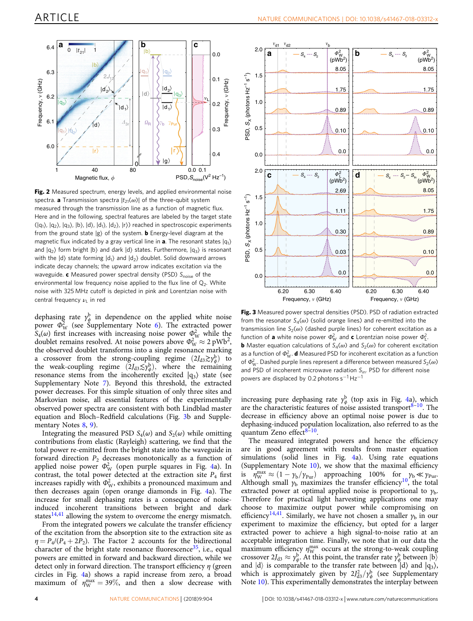

Fig. 2 Measured spectrum, energy levels, and applied environmental noise spectra. **a** Transmission spectra  $|t_{21}(\omega)|$  of the three-qubit system measured through the transmission line as a function of magnetic flux. Here and in the following, spectral features are labeled by the target state  $(|q_1\rangle, |q_2\rangle, |q_3\rangle, |b\rangle, |d\rangle, |d_1\rangle, |d_2\rangle, |r\rangle)$  reached in spectroscopic experiments from the ground state  $|g\rangle$  of the system. **b** Energy-level diagram at the magnetic flux indicated by a gray vertical line in **a**. The resonant states  $|q_1\rangle$ and  $|q_2\rangle$  form bright  $|b\rangle$  and dark  $|d\rangle$  states. Furthermore,  $|q_3\rangle$  is resonant with the  $|d\rangle$  state forming  $|d_1\rangle$  and  $|d_2\rangle$  doublet. Solid downward arrows indicate decay channels; the upward arrow indicates excitation via the waveguide. c Measured power spectral density (PSD) Snoise of the environmental low frequency noise applied to the flux line of  $Q<sub>2</sub>$ . White noise with 325 MHz cutoff is depicted in pink and Lorentzian noise with central frequency  $\nu_1$  in red

dephasing rate  $\gamma^b_\phi$  in dependence on the applied white noise power  $\Phi_W^2$  (see Supplementary Note 6). The extracted power  $S_4(\omega)$  first increases with increasing noise power  $\Phi_W^2$  while the doublet remains resolved. At noise powers above  $\Phi_{\rm W}^2 \approx 2 \text{ pWb}^2$ , the observed doublet transforms into a single resonance marking a crossover from the strong-coupling regime  $(2J_{d3} \gtrsim \gamma_{\phi}^{b})$  to the weak-coupling regime  $(2J<sub>d3</sub> \leq \gamma^b_{\phi})$ , where the remaining resonance stems from the incoherently excited  $|q_3\rangle$  state (see Supplementary Note 7). Beyond this threshold, the extracted power decreases. For this simple situation of only three sites and Markovian noise, all essential features of the experimentally observed power spectra are consistent with both Lindblad master equation and Bloch–Redfield calculations (Fig. 3b and Supplementary Notes 8, 9).

Integrating the measured PSD  $S_4(\omega)$  and  $S_2(\omega)$  while omitting contributions from elastic (Rayleigh) scattering, we find that the total power re-emitted from the bright state into the waveguide in forward direction  $P_2$  decreases monotonically as a function of applied noise power  $\Phi_W^2$  (open purple squares in Fig. 4a). In contrast, the total power detected at the extraction site  $P_4$  first increases rapidly with  $\Phi_W^2$ , exhibits a pronounced maximum and then decreases again (open orange diamonds in Fig. 4a). The increase for small dephasing rates is a consequence of noiseinduced incoherent transitions between bright and dark states $14,41$  allowing the system to overcome the energy mismatch.

From the integrated powers we calculate the transfer efficiency of the excitation from the absorption site to the extraction site as  $\eta = P_4/(P_4 + 2P_2)$ . The Factor 2 accounts for the bidirectional character of the bright state resonance fluorescence<sup>35</sup>, i.e., equal powers are emitted in forward and backward direction, while we detect only in forward direction. The transport efficiency  $\eta$  (green circles in Fig. 4a) shows a rapid increase from zero, a broad maximum of  $\eta_{\rm W}^{\rm max} = 39\%$ , and then a slow decrease with



Fig. 3 Measured power spectral densities (PSD). PSD of radiation extracted from the resonator  $S_4(\omega)$  (solid orange lines) and re-emitted into the transmission line  $S_2(\omega)$  (dashed purple lines) for coherent excitation as a function of **a** white noise power  $\Phi_{\rm W}^2$  and **c** Lorentzian noise power  $\Phi_{\rm L}^2$ **b** Master equation calculations of  $S_4(\omega)$  and  $S_2(\omega)$  for coherent excitation as a function of  $\Phi_W^2$ . **d** Measured PSD for incoherent excitation as a function of  $\Phi_W^2$ . Dashed purple lines represent a difference between measured  $S_2(\omega)$ and PSD of incoherent microwave radiation  $S_{\text{in}}$ . PSD for different noise powers are displaced by 0.2 photons s<sup>-1</sup> Hz<sup>-1</sup>

increasing pure dephasing rate  $y_{\phi}^{b}$  (top axis in Fig. 4a), which are the characteristic features of noise assisted transport $8-10$ . The decrease in efficiency above an optimal noise power is due to dephasing-induced population localization, also referred to as the quantum Zeno effect $8-10$ .

The measured integrated powers and hence the efficiency are in good agreement with results from master equation simulations (solid lines in Fig. 4a). Using rate equations (Supplementary Note 10), we show that the maximal efficiency is  $\eta_{\rm W}^{\rm max} \approx (1 - \gamma_{\rm b}/\gamma_{\rm Pur})$  approaching 100% for  $\gamma_{\rm b} \ll \gamma_{\rm Pur}$ Although small  $\gamma_{\rm b}$  maximizes the transfer efficiency<sup>10</sup>, the total extracted power at optimal applied noise is proportional to  $\gamma_{b}$ . Therefore for practical light harvesting applications one may choose to maximize output power while compromising on efficiency<sup>14,41</sup>. Similarly, we have not chosen a smaller  $\gamma_b$  in our experiment to maximize the efficiency, but opted for a larger extracted power to achieve a high signal-to-noise ratio at an acceptable integration time. Finally, we note that in our data the maximum efficiency  $\eta_{\rm W}^{\rm max}$  occurs at the strong-to-weak coupling crossover  $2J_{d3} \approx \gamma_{\phi}^b$ . At this point, the transfer rate  $\gamma_{\phi}^b$  between  $|b\rangle$ and  $|d\rangle$  is comparable to the transfer rate between  $|d\rangle$  and  $|q_3\rangle$ , which is approximately given by  $2J_{d3}^2/\gamma_\phi^b$  (see Supplementary Note 10). This experimentally demonstrates the interplay between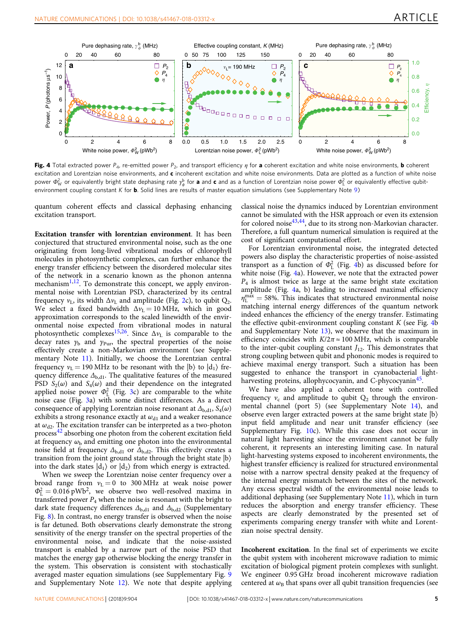

Fig. 4 Total extracted power  $P_{4}$ , re-emitted power  $P_{2}$ , and transport efficiency  $\eta$  for a coherent excitation and white noise environments, **b** coherent excitation and Lorentzian noise environments, and  $c$  incoherent excitation and white noise environments. Data are plotted as a function of white noise power  $\Phi^2_\mathrm{W}$  or equivalently bright state dephasing rate  $\gamma^\mathrm{b}_\phi$  for **a** and **c** and as a function of Lorentzian noise power  $\Phi_\mathrm{L}^2$  or equivalently effective qubitenvironment coupling constant K for **b**. Solid lines are results of master equation simulations (see Supplementary Note 9)

quantum coherent effects and classical dephasing enhancing excitation transport.

Excitation transfer with lorentzian environment. It has been conjectured that structured environmental noise, such as the one originating from long-lived vibrational modes of chlorophyll molecules in photosynthetic complexes, can further enhance the energy transfer efficiency between the disordered molecular sites of the network in a scenario known as the phonon antenna mechanism $^{1,12}$ . To demonstrate this concept, we apply environmental noise with Lorentzian PSD, characterized by its central frequency  $v_L$ , its width  $\Delta v_L$  and amplitude (Fig. 2c), to qubit  $Q_2$ . We select a fixed bandwidth  $\Delta v_L = 10 \text{ MHz}$ , which in good approximation corresponds to the scaled linewidth of the environmental noise expected from vibrational modes in natural photosynthetic complexes<sup>15,26</sup>. Since  $\Delta v_L$  is comparable to the decay rates  $y_b$  and  $y_{\text{pur}}$ , the spectral properties of the noise effectively create a non-Markovian environment (see Supplementary Note 11). Initially, we choose the Lorentzian central frequency  $v_L = 190 \text{ MHz}$  to be resonant with the  $|b\rangle$  to  $|d_1\rangle$  frequency difference  $\Delta_{b, d1}$ . The qualitative features of the measured PSD  $S_2(\omega)$  and  $S_4(\omega)$  and their dependence on the integrated applied noise power  $\Phi_L^2$  (Fig. 3c) are comparable to the white noise case (Fig. 3a) with some distinct differences. As a direct consequence of applying Lorentzian noise resonant at  $\Delta_{b, d1}$ ,  $S_4(\omega)$ exhibits a strong resonance exactly at  $\omega_{d1}$  and a weaker resonance at  $\omega_{d2}$ . The excitation transfer can be interpreted as a two-photon process<sup>42</sup> absorbing one photon from the coherent excitation field at frequency  $\omega_{\rm b}$  and emitting one photon into the environmental noise field at frequency  $\Delta_{b, d1}$  or  $\Delta_{b, d2}$ . This effectively creates a transition from the joint ground state through the bright state |b〉 into the dark states  $|d_1\rangle$  or  $|d_2\rangle$  from which energy is extracted.

When we sweep the Lorentzian noise center frequency over a broad range from  $v_L = 0$  to 300 MHz at weak noise power  $\Phi_{\rm L}^2 = 0.016 \text{ pWb}^2$ , we observe two well-resolved maxima in transferred power  $P_4$  when the noise is resonant with the bright to dark state frequency differences  $\Delta_{b, d1}$  and  $\Delta_{b, d2}$  (Supplementary Fig. 8). In contrast, no energy transfer is observed when the noise is far detuned. Both observations clearly demonstrate the strong sensitivity of the energy transfer on the spectral properties of the environmental noise, and indicate that the noise-assisted transport is enabled by a narrow part of the noise PSD that matches the energy gap otherwise blocking the energy transfer in the system. This observation is consistent with stochastically averaged master equation simulations (see Supplementary Fig. 9 and Supplementary Note 12). We note that despite applying

classical noise the dynamics induced by Lorentzian environment cannot be simulated with the HSR approach or even its extension for colored noise<sup>43,44</sup>, due to its strong non-Markovian character. Therefore, a full quantum numerical simulation is required at the cost of significant computational effort.

For Lorentzian environmental noise, the integrated detected powers also display the characteristic properties of noise-assisted transport as a function of  $\Phi_L^2$  (Fig. 4b) as discussed before for white noise (Fig. 4a). However, we note that the extracted power  $P_4$  is almost twice as large at the same bright state excitation amplitude (Fig. 4a, b) leading to increased maximal efficiency  $\eta_L^{\text{max}} = 58\%$ . This indicates that structured environmental noise matching internal energy differences of the quantum network indeed enhances the efficiency of the energy transfer. Estimating the effective qubit-environment coupling constant  $K$  (see Fig. 4b) and Supplementary Note 13), we observe that the maximum in efficiency coincides with  $K/2\pi \approx 100 \text{ MHz}$ , which is comparable to the inter-qubit coupling constant  $J_{12}$ . This demonstrates that strong coupling between qubit and phononic modes is required to achieve maximal energy transport. Such a situation has been suggested to enhance the transport in cyanobacterial lightharvesting proteins, allophycocyanin, and C-phycocyanin<sup>45</sup>.

We have also applied a coherent tone with controlled frequency  $v_c$  and amplitude to qubit  $Q_2$  through the environmental channel (port 5) (see Supplementary Note 14), and observe even larger extracted powers at the same bright state |b〉 input field amplitude and near unit transfer efficiency (see Supplementary Fig. 10c). While this case does not occur in natural light harvesting since the environment cannot be fully coherent, it represents an interesting limiting case. In natural light-harvesting systems exposed to incoherent environments, the highest transfer efficiency is realized for structured environmental noise with a narrow spectral density peaked at the frequency of the internal energy mismatch between the sites of the network. Any excess spectral width of the environmental noise leads to additional dephasing (see Supplementary Note 11), which in turn reduces the absorption and energy transfer efficiency. These aspects are clearly demonstrated by the presented set of experiments comparing energy transfer with white and Lorentzian noise spectral density.

Incoherent excitation. In the final set of experiments we excite the qubit system with incoherent microwave radiation to mimic excitation of biological pigment protein complexes with sunlight. We engineer 0.95 GHz broad incoherent microwave radiation centered at  $\omega_B$  that spans over all qubit transition frequencies (see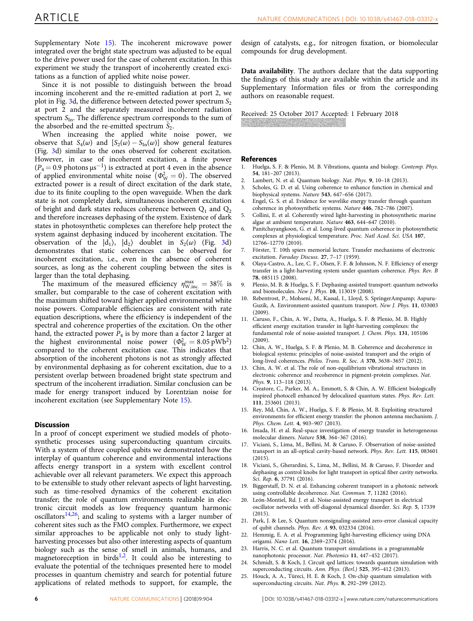Supplementary Note 15). The incoherent microwave power integrated over the bright state spectrum was adjusted to be equal to the drive power used for the case of coherent excitation. In this experiment we study the transport of incoherently created excitations as a function of applied white noise power.

Since it is not possible to distinguish between the broad incoming incoherent and the re-emitted radiation at port 2, we plot in Fig. 3d, the difference between detected power spectrum  $S_2$ at port 2 and the separately measured incoherent radiation spectrum  $S_{In}$ . The difference spectrum corresponds to the sum of the absorbed and the re-emitted spectrum  $S_2$ .

When increasing the applied white noise power, we observe that  $S_4(\omega)$  and  $[S_2(\omega) - S_{\text{In}}(\omega)]$  show general features (Fig. 3d) similar to the ones observed for coherent excitation. However, in case of incoherent excitation, a finite power  $(P_4\!=\!0.9~\mathrm{photons~\mu s^{-1}})$  is extracted at port 4 even in the absence of applied environmental white noise  $(\Phi_{\rm W}^2 = 0)$ . The observed extracted power is a result of direct excitation of the dark state, due to its finite coupling to the open waveguide. When the dark state is not completely dark, simultaneous incoherent excitation of bright and dark states reduces coherence between  $Q_1$  and  $Q_2$ and therefore increases dephasing of the system. Existence of dark states in photosynthetic complexes can therefore help protect the system against dephasing induced by incoherent excitation. The observation of the  $|d_1\rangle$ ,  $|d_2\rangle$  doublet in  $S_2(\omega)$  (Fig. 3d) demonstrates that static coherences can be observed for incoherent excitation, i.e., even in the absence of coherent sources, as long as the coherent coupling between the sites is larger than the total dephasing.

The maximum of the measured efficiency  $\eta_{W,inc.}^{max} = 38\%$  is smaller, but comparable to the case of coherent excitation with the maximum shifted toward higher applied environmental white noise powers. Comparable efficiencies are consistent with rate equation descriptions, where the efficiency is independent of the spectral and coherence properties of the excitation. On the other hand, the extracted power  $\overline{P}_4$  is by more than a factor 2 larger at the highest environmental noise power  $(\Phi_W^2 = 8.05 \text{ pWb}^2)$ compared to the coherent excitation case. This indicates that absorption of the incoherent photons is not as strongly affected by environmental dephasing as for coherent excitation, due to a persistent overlap between broadened bright state spectrum and spectrum of the incoherent irradiation. Similar conclusion can be made for energy transport induced by Lorentzian noise for incoherent excitation (see Supplementary Note 15).

#### **Discussion**

In a proof of concept experiment we studied models of photosynthetic processes using superconducting quantum circuits. With a system of three coupled qubits we demonstrated how the interplay of quantum coherence and environmental interactions affects energy transport in a system with excellent control achievable over all relevant parameters. We expect this approach to be extensible to study other relevant aspects of light harvesting, such as time-resolved dynamics of the coherent excitation transfer; the role of quantum environments realizable in electronic circuit models as low frequency quantum harmonic oscillators<sup>14,26</sup>; and scaling to systems with a larger number of coherent sites such as the FMO complex. Furthermore, we expect similar approaches to be applicable not only to study lightharvesting processes but also other interesting aspects of quantum biology such as the sense of smell in animals, humans, and magnetoreception in birds<sup>1,2</sup>. It could also be interesting to evaluate the potential of the techniques presented here to model processes in quantum chemistry and search for potential future applications of related methods to support, for example, the

design of catalysts, e.g., for nitrogen fixation, or biomolecular compounds for drug development.

Data availability. The authors declare that the data supporting the findings of this study are available within the article and its Supplementary Information files or from the corresponding authors on reasonable request.

Received: 25 October 2017 Accepted: 1 February 2018

#### References

- 1. Huelga, S. F. & Plenio, M. B. Vibrations, quanta and biology. Contemp. Phys. 54, 181–207 (2013).
- 2. Lambert, N. et al. Quantum biology. Nat. Phys. 9, 10–18 (2013).
- 3. Scholes, G. D. et al. Using coherence to enhance function in chemical and biophysical systems. Nature 543, 647–656 (2017).
- 4. Engel, G. S. et al. Evidence for wavelike energy transfer through quantum coherence in photosynthetic systems. Nature 446, 782–786 (2007).
- 5. Collini, E. et al. Coherently wired light-harvesting in photosynthetic marine algae at ambient temperature. Nature 463, 644–647 (2010).
- 6. Panitchayangkoon, G. et al. Long-lived quantum coherence in photosynthetic complexes at physiological temperature. Proc. Natl Acad. Sci. USA 107, 12766–12770 (2010).
- 7. Förster, T. 10th spiers memorial lecture. Transfer mechanisms of electronic excitation. Faraday Discuss. 27, 7–17 (1959).
- 8. Olaya-Castro, A., Lee, C. F., Olsen, F. F. & Johnson, N. F. Efficiency of energy transfer in a light-harvesting system under quantum coherence. Phys. Rev. B 78, 085115 (2008).
- 9. Plenio, M. B. & Huelga, S. F. Dephasing-assisted transport: quantum networks and biomolecules. New J. Phys. 10, 113019 (2008).
- 10. Rebentrost, P., Mohseni, M., Kassal, I., Lloyd, S. SpringerAmpamp; Aspuru-Guzik, A. Environment-assisted quantum transport. New J. Phys. 11, 033003 (2009).
- 11. Caruso, F., Chin, A. W., Datta, A., Huelga, S. F. & Plenio, M. B. Highly efficient energy excitation transfer in light-harvesting complexes: the fundamental role of noise-assisted transport. J. Chem. Phys. 131, 105106 (2009).
- 12. Chin, A. W., Huelga, S. F. & Plenio, M. B. Coherence and decoherence in biological systems: principles of noise-assisted transport and the origin of long-lived coherences. Philos. Trans. R. Soc. A 370, 3638–3657 (2012).
- 13. Chin, A. W. et al. The role of non-equilibrium vibrational structures in electronic coherence and recoherence in pigment-protein complexes. Nat. Phys. 9, 113–118 (2013).
- 14. Creatore, C., Parker, M. A., Emmott, S. & Chin, A. W. Efficient biologically inspired photocell enhanced by delocalized quantum states. Phys. Rev. Lett. 111, 253601 (2013).
- 15. Rey, Md, Chin, A. W., Huelga, S. F. & Plenio, M. B. Exploiting structured environments for efficient energy transfer: the phonon antenna mechanism. J. Phys. Chem. Lett. 4, 903–907 (2013).
- 16. Imada, H. et al. Real-space investigation of energy transfer in heterogeneous molecular dimers. Nature 538, 364–367 (2016).
- 17. Viciani, S., Lima, M., Bellini, M. & Caruso, F. Observation of noise-assisted transport in an all-optical cavity-based network. Phys. Rev. Lett. 115, 083601 (2015).
- 18. Viciani, S., Gherardini, S., Lima, M., Bellini, M. & Caruso, F. Disorder and dephasing as control knobs for light transport in optical fiber cavity networks. Sci. Rep. 6, 37791 (2016).
- 19. Biggerstaff, D. N. et al. Enhancing coherent transport in a photonic network using controllable decoherence. Nat. Commun. 7, 11282 (2016).
- León-Montiel, Rd. J. et al. Noise-assisted energy transport in electrical oscillator networks with off-diagonal dynamical disorder. Sci. Rep. 5, 17339 (2015).
- 21. Park, J. & Lee, S. Quantum nonsignaling-assisted zero-error classical capacity of qubit channels. Phys. Rev. A 93, 032334 (2016).
- 22. Hemmig, E. A. et al. Programming light-harvesting efficiency using DNA origami. Nano Lett. 16, 2369–2374 (2016).
- Harris, N. C. et al. Quantum transport simulations in a programmable nanophotonic processor. Nat. Photonics 11, 447–452 (2017).
- 24. Schmidt, S. & Koch, J. Circuit qed lattices: towards quantum simulation with superconducting circuits. Ann. Phys. (Berl.) 525, 395–412 (2013).
- 25. Houck, A. A., Türeci, H. E. & Koch, J. On-chip quantum simulation with superconducting circuits. Nat. Phys. 8, 292–299 (2012).